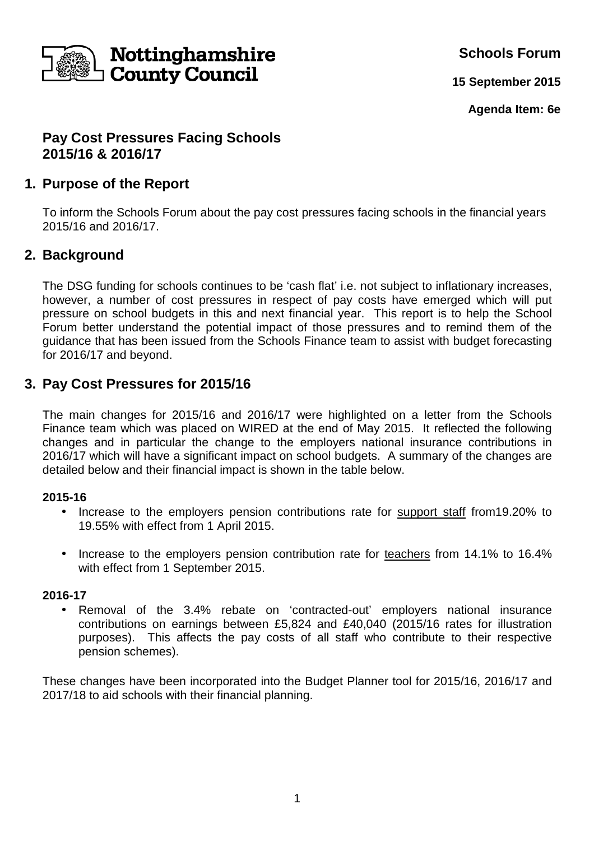

**Schools Forum**

**15 September 2015**

**Agenda Item: 6e**

### **Pay Cost Pressures Facing Schools 2015/16 & 2016/17**

## **1. Purpose of the Report**

To inform the Schools Forum about the pay cost pressures facing schools in the financial years 2015/16 and 2016/17.

## **2. Background**

The DSG funding for schools continues to be 'cash flat' i.e. not subject to inflationary increases, however, a number of cost pressures in respect of pay costs have emerged which will put pressure on school budgets in this and next financial year. This report is to help the School Forum better understand the potential impact of those pressures and to remind them of the guidance that has been issued from the Schools Finance team to assist with budget forecasting for 2016/17 and beyond.

## **3. Pay Cost Pressures for 2015/16**

The main changes for 2015/16 and 2016/17 were highlighted on a letter from the Schools Finance team which was placed on WIRED at the end of May 2015. It reflected the following changes and in particular the change to the employers national insurance contributions in 2016/17 which will have a significant impact on school budgets. A summary of the changes are detailed below and their financial impact is shown in the table below.

#### **2015-16**

- Increase to the employers pension contributions rate for support staff from19.20% to 19.55% with effect from 1 April 2015.
- Increase to the employers pension contribution rate for teachers from 14.1% to 16.4% with effect from 1 September 2015.

#### **2016-17**

• Removal of the 3.4% rebate on 'contracted-out' employers national insurance contributions on earnings between £5,824 and £40,040 (2015/16 rates for illustration purposes). This affects the pay costs of all staff who contribute to their respective pension schemes).

These changes have been incorporated into the Budget Planner tool for 2015/16, 2016/17 and 2017/18 to aid schools with their financial planning.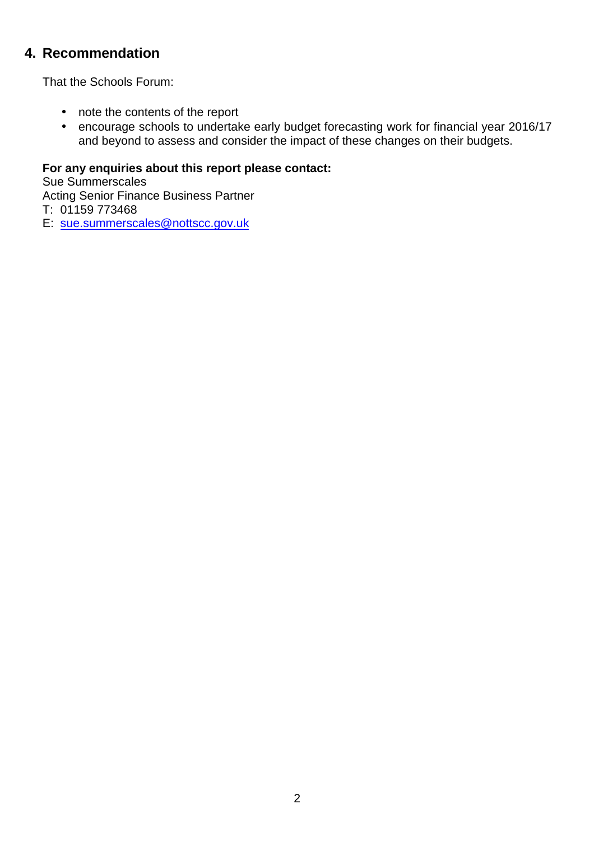# **4. Recommendation**

That the Schools Forum:

- note the contents of the report
- encourage schools to undertake early budget forecasting work for financial year 2016/17 and beyond to assess and consider the impact of these changes on their budgets.

### **For any enquiries about this report please contact:**

Sue Summerscales Acting Senior Finance Business Partner T: 01159 773468

E: sue.summerscales@nottscc.gov.uk